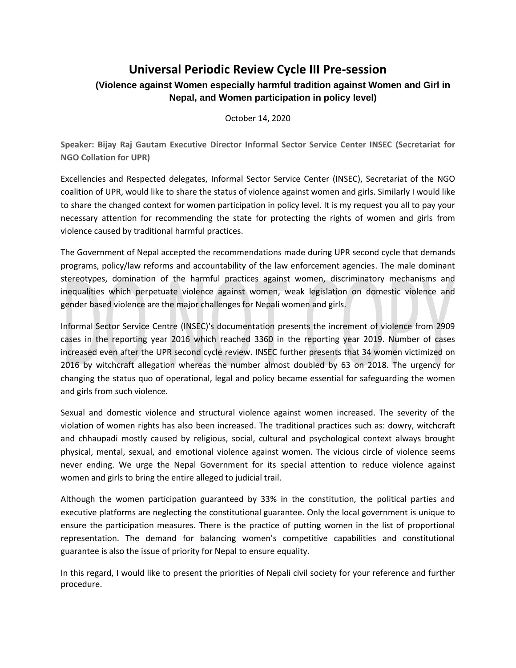## **Universal Periodic Review Cycle III Pre-session**

## **(Violence against Women especially harmful tradition against Women and Girl in Nepal, and Women participation in policy level)**

October 14, 2020

**Speaker: Bijay Raj Gautam Executive Director Informal Sector Service Center INSEC (Secretariat for NGO Collation for UPR)**

Excellencies and Respected delegates, Informal Sector Service Center (INSEC), Secretariat of the NGO coalition of UPR, would like to share the status of violence against women and girls. Similarly I would like to share the changed context for women participation in policy level. It is my request you all to pay your necessary attention for recommending the state for protecting the rights of women and girls from violence caused by traditional harmful practices.

The Government of Nepal accepted the recommendations made during UPR second cycle that demands programs, policy/law reforms and accountability of the law enforcement agencies. The male dominant stereotypes, domination of the harmful practices against women, discriminatory mechanisms and inequalities which perpetuate violence against women, weak legislation on domestic violence and gender based violence are the major challenges for Nepali women and girls.

Informal Sector Service Centre (INSEC)'s documentation presents the increment of violence from 2909 cases in the reporting year 2016 which reached 3360 in the reporting year 2019. Number of cases increased even after the UPR second cycle review. INSEC further presents that 34 women victimized on 2016 by witchcraft allegation whereas the number almost doubled by 63 on 2018. The urgency for changing the status quo of operational, legal and policy became essential for safeguarding the women and girls from such violence.

Sexual and domestic violence and structural violence against women increased. The severity of the violation of women rights has also been increased. The traditional practices such as: dowry, witchcraft and chhaupadi mostly caused by religious, social, cultural and psychological context always brought physical, mental, sexual, and emotional violence against women. The vicious circle of violence seems never ending. We urge the Nepal Government for its special attention to reduce violence against women and girls to bring the entire alleged to judicial trail.

Although the women participation guaranteed by 33% in the constitution, the political parties and executive platforms are neglecting the constitutional guarantee. Only the local government is unique to ensure the participation measures. There is the practice of putting women in the list of proportional representation. The demand for balancing women's competitive capabilities and constitutional guarantee is also the issue of priority for Nepal to ensure equality.

In this regard, I would like to present the priorities of Nepali civil society for your reference and further procedure.